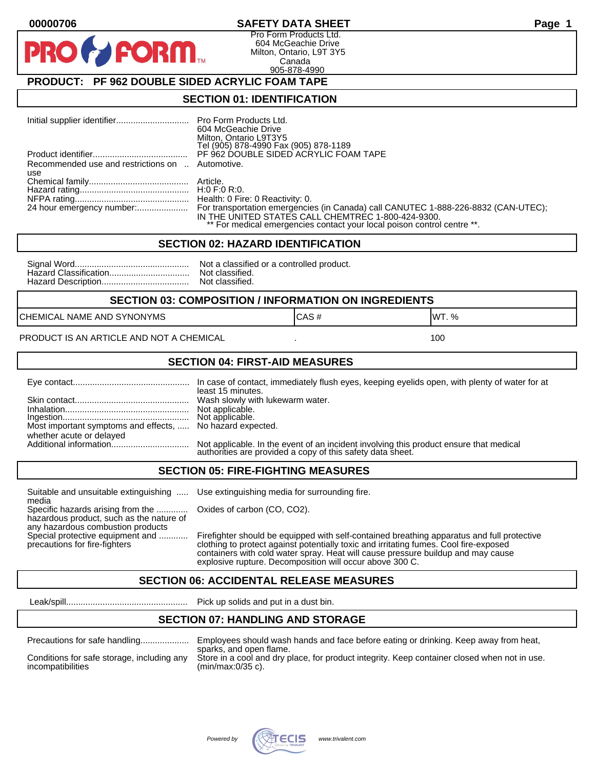#### **00000706 SAFETY DATA SHEET Page 1**

Pro Form Products Ltd. 604 McGeachie Drive Milton, Ontario, L9T 3Y5 Canada 905-878-4990

## **PRODUCT: PF 962 DOUBLE SIDED ACRYLIC FOAM TAPE**

**FORM.** 

#### **SECTION 01: IDENTIFICATION**

|                                                         | 604 McGeachie Drive<br>Milton, Ontario L9T3Y5<br>Tel (905) 878-4990 Fax (905) 878-1189                                                                                                                                                        |
|---------------------------------------------------------|-----------------------------------------------------------------------------------------------------------------------------------------------------------------------------------------------------------------------------------------------|
|                                                         | PF 962 DOUBLE SIDED ACRYLIC FOAM TAPE                                                                                                                                                                                                         |
| Recommended use and restrictions on  Automotive.<br>use |                                                                                                                                                                                                                                               |
|                                                         |                                                                                                                                                                                                                                               |
|                                                         |                                                                                                                                                                                                                                               |
|                                                         | 24 hour emergency number: For transportation emergencies (in Canada) call CANUTEC 1-888-226-8832 (CAN-UTEC);<br>IN THE UNITED STATES CALL CHEMTREC 1-800-424-9300.<br>** For medical emergencies contact your local poison control centre **. |

#### **SECTION 02: HAZARD IDENTIFICATION**

| Nc |
|----|
| No |
| No |

ot a classified or a controlled product. ot classified. ot classified.

#### **SECTION 03: COMPOSITION / INFORMATION ON INGREDIENTS**

CHEMICAL NAME AND SYNONYMS GAS AND CAS # CAS # WT. %

PRODUCT IS AN ARTICLE AND NOT A CHEMICAL **AND THE SET AND A SET ALL ASSAULT** 100

#### **SECTION 04: FIRST-AID MEASURES**

|                                                                                       | least 15 minutes.                                                                                                                                    |
|---------------------------------------------------------------------------------------|------------------------------------------------------------------------------------------------------------------------------------------------------|
|                                                                                       |                                                                                                                                                      |
| Most important symptoms and effects,  No hazard expected.<br>whether acute or delayed |                                                                                                                                                      |
|                                                                                       | Not applicable. In the event of an incident involving this product ensure that medical<br>authorities are provided a copy of this safety data sheet. |

#### **SECTION 05: FIRE-FIGHTING MEASURES**

Suitable and unsuitable extinguishing ..... Use extinguishing media for surrounding fire. media

Specific hazards arising from the ............. Oxides of carbon (CO, CO2). hazardous product, such as the nature of any hazardous combustion products

Special protective equipment and ............ Firefighter should be equipped with self-contained breathing apparatus and full protective<br>precautions for fire-fighters continent clothing to protect against potentially toxic clothing to protect against potentially toxic and irritating fumes. Cool fire-exposed containers with cold water spray. Heat will cause pressure buildup and may cause explosive rupture. Decomposition will occur above 300 C.

## **SECTION 06: ACCIDENTAL RELEASE MEASURES**

Leak/spill.................................................. Pick up solids and put in a dust bin.

#### **SECTION 07: HANDLING AND STORAGE**

| Precautions for safe handling |  |
|-------------------------------|--|
|                               |  |

Precautions for safe handling.................... Employees should wash hands and face before eating or drinking. Keep away from heat, sparks, and open flame. Conditions for safe storage, including any Store in a cool and dry place, for product integrity. Keep container closed when not in use.<br>incompatibilities (min/max:0/35 c).  $(min/max:0/35 c)$ .

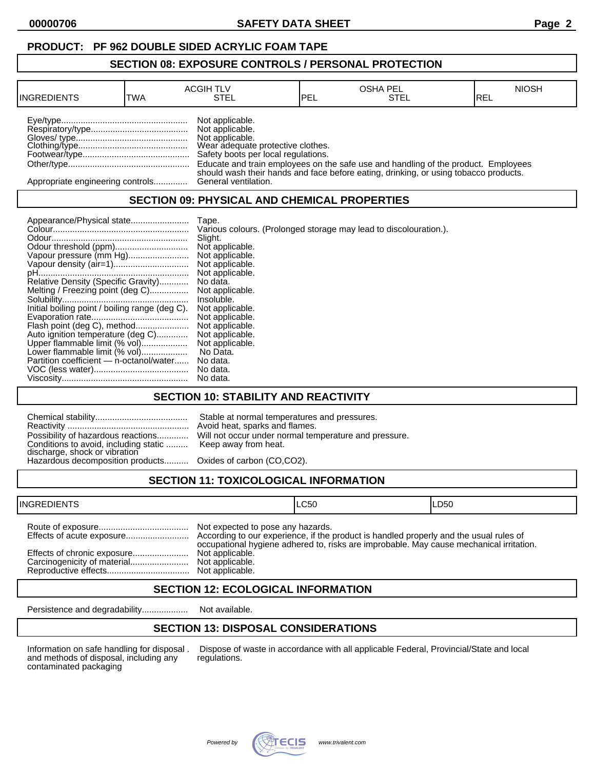## **PRODUCT: PF 962 DOUBLE SIDED ACRYLIC FOAM TAPE**

#### **SECTION 08: EXPOSURE CONTROLS / PERSONAL PROTECTION**

| <b>INGREDIENTS</b>               | TWA | <b>ACGIH TLV</b><br>STEL                                                                                                          | <b>IPEL</b> | <b>OSHA PEL</b><br>STEL                                                              | <b>NIOSH</b><br>IREL |
|----------------------------------|-----|-----------------------------------------------------------------------------------------------------------------------------------|-------------|--------------------------------------------------------------------------------------|----------------------|
|                                  |     | Not applicable.<br>Not applicable.<br>Not applicable.<br>Wear adequate protective clothes.<br>Safety boots per local regulations. |             | Educate and train employees on the safe use and handling of the product. Employees   |                      |
| Appropriate engineering controls |     | General ventilation.                                                                                                              |             | should wash their hands and face before eating, drinking, or using tobacco products. |                      |

## **SECTION 09: PHYSICAL AND CHEMICAL PROPERTIES**

| Appearance/Physical state                      | Tape.                                                             |
|------------------------------------------------|-------------------------------------------------------------------|
|                                                | Various colours. (Prolonged storage may lead to discolouration.). |
|                                                | Slight.                                                           |
| Odour threshold (ppm)                          | Not applicable.                                                   |
| Vapour pressure (mm Hg)                        | Not applicable.                                                   |
|                                                | Not applicable.                                                   |
|                                                | Not applicable.                                                   |
| Relative Density (Specific Gravity)            | No data.                                                          |
| Melting / Freezing point (deg C)               | Not applicable.                                                   |
|                                                | Insoluble.                                                        |
| Initial boiling point / boiling range (deg C). | Not applicable.                                                   |
|                                                | Not applicable.                                                   |
| Flash point (deg C), method                    | Not applicable.                                                   |
| Auto ignition temperature (deg C)              | Not applicable.                                                   |
| Upper flammable limit (% vol)                  | Not applicable.                                                   |
| Lower flammable limit (% vol)                  | No Data.                                                          |
| Partition coefficient - n-octanol/water        | No data.                                                          |
|                                                | No data.                                                          |
|                                                | No data.                                                          |

## **SECTION 10: STABILITY AND REACTIVITY**

| Conditions to avoid, including static  Keep away from heat.<br>discharge, shock or vibration<br>Hazardous decomposition products Oxides of carbon (CO,CO2). | Stable at normal temperatures and pressures.<br>Avoid heat, sparks and flames.<br>Possibility of hazardous reactions Will not occur under normal temperature and pressure. |
|-------------------------------------------------------------------------------------------------------------------------------------------------------------|----------------------------------------------------------------------------------------------------------------------------------------------------------------------------|
|                                                                                                                                                             |                                                                                                                                                                            |

# **SECTION 11: TOXICOLOGICAL INFORMATION**

| <b>INGREDIENTS</b>          |                                                                         | ILC50                                                                                   | ILD50 |
|-----------------------------|-------------------------------------------------------------------------|-----------------------------------------------------------------------------------------|-------|
| Effects of chronic exposure | Not expected to pose any hazards.<br>Not applicable.<br>Not applicable. | occupational hygiene adhered to, risks are improbable. May cause mechanical irritation. |       |

## **SECTION 12: ECOLOGICAL INFORMATION**

Persistence and degradability................... Not available.

## **SECTION 13: DISPOSAL CONSIDERATIONS**

and methods of disposal, including any contaminated packaging

Information on safe handling for disposal . Dispose of waste in accordance with all applicable Federal, Provincial/State and local